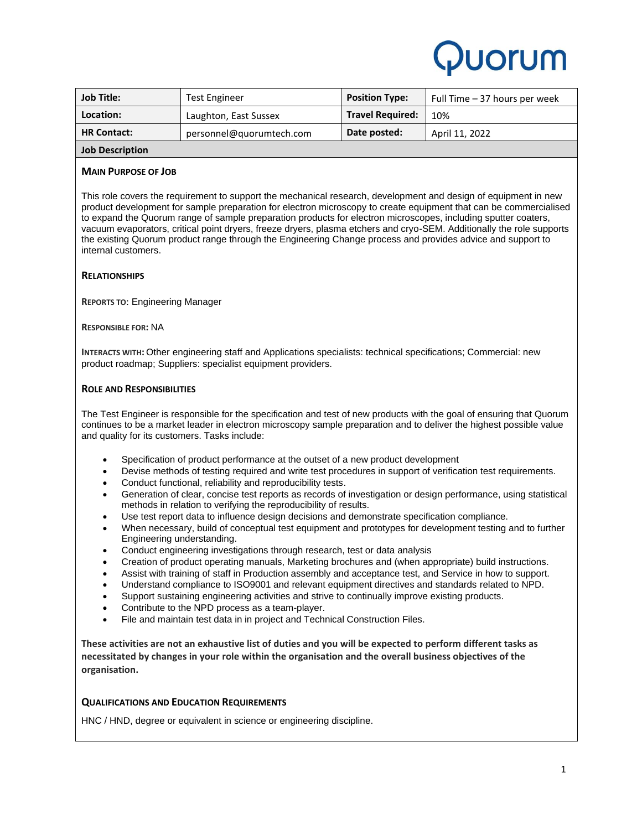# Puorum

| <b>Job Title:</b>      | <b>Test Engineer</b>     | <b>Position Type:</b>   | Full Time – 37 hours per week |
|------------------------|--------------------------|-------------------------|-------------------------------|
| Location:              | Laughton, East Sussex    | <b>Travel Required:</b> | 10%                           |
| <b>HR Contact:</b>     | personnel@quorumtech.com | Date posted:            | April 11, 2022                |
| <b>Job Description</b> |                          |                         |                               |

### **MAIN PURPOSE OF JOB**

This role covers the requirement to support the mechanical research, development and design of equipment in new product development for sample preparation for electron microscopy to create equipment that can be commercialised to expand the Quorum range of sample preparation products for electron microscopes, including sputter coaters, vacuum evaporators, critical point dryers, freeze dryers, plasma etchers and cryo-SEM. Additionally the role supports the existing Quorum product range through the Engineering Change process and provides advice and support to internal customers.

### **RELATIONSHIPS**

**REPORTS TO**: Engineering Manager

**RESPONSIBLE FOR:** NA

**INTERACTS WITH:** Other engineering staff and Applications specialists: technical specifications; Commercial: new product roadmap; Suppliers: specialist equipment providers.

#### **ROLE AND RESPONSIBILITIES**

The Test Engineer is responsible for the specification and test of new products with the goal of ensuring that Quorum continues to be a market leader in electron microscopy sample preparation and to deliver the highest possible value and quality for its customers. Tasks include:

- Specification of product performance at the outset of a new product development
- Devise methods of testing required and write test procedures in support of verification test requirements.
- Conduct functional, reliability and reproducibility tests.
- Generation of clear, concise test reports as records of investigation or design performance, using statistical methods in relation to verifying the reproducibility of results.
- Use test report data to influence design decisions and demonstrate specification compliance.
- When necessary, build of conceptual test equipment and prototypes for development testing and to further Engineering understanding.
- Conduct engineering investigations through research, test or data analysis
- Creation of product operating manuals, Marketing brochures and (when appropriate) build instructions.
- Assist with training of staff in Production assembly and acceptance test, and Service in how to support.
- Understand compliance to ISO9001 and relevant equipment directives and standards related to NPD.
- Support sustaining engineering activities and strive to continually improve existing products.
- Contribute to the NPD process as a team-player.
- File and maintain test data in in project and Technical Construction Files.

**These activities are not an exhaustive list of duties and you will be expected to perform different tasks as necessitated by changes in your role within the organisation and the overall business objectives of the organisation.** 

# **QUALIFICATIONS AND EDUCATION REQUIREMENTS**

HNC / HND, degree or equivalent in science or engineering discipline.